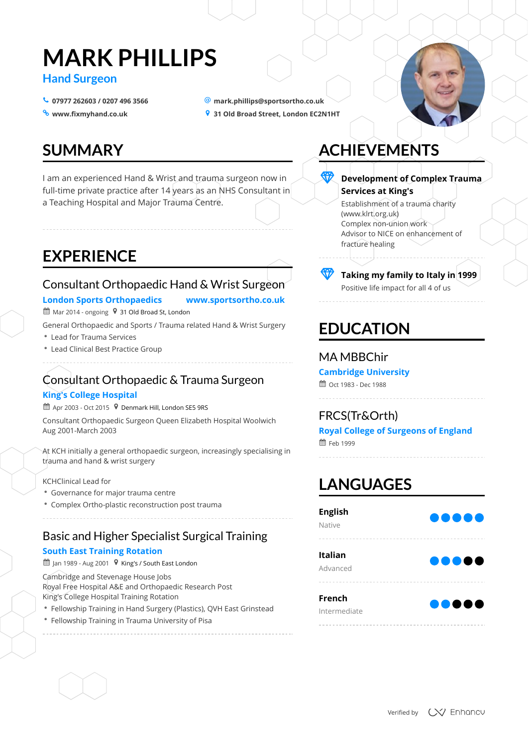# **MARK PHILLIPS**

### **Hand Surgeon**

- $\bullet$  07977 262603 / 0207 496 3566
- <sup>o</sup> www.fixmyhand.co.uk
- **07977 262603 / 0207 496 3566 [mark.phillips@sportsortho.co.uk](mailto:mark.phillips@sportsortho.co.uk)**
- **[www.fixmyhand.co.uk](www.fixmyhand.co.uk%20) 31 Old Broad Street, London EC2N1HT**

# **SUMMARY**

# **EXPERIENCE**

# **ACHIEVEMENTS**

# **EDUCATION**

# **LANGUAGES**

I am an experienced Hand & Wrist and trauma surgeon now in full-time private practice after 14 years as an NHS Consultant in a Teaching Hospital and Major Trauma Centre.

### Consultant Orthopaedic Hand & Wrist Surgeon

### **London Sports Orthopaedics www.sportsortho.co.uk**

 $\mathbf{\mathbf{\mathfrak{\mathfrak{m}}}}$  Mar 2014 - ongoing  $\mathbf{\mathsf{9}}$  31 Old Broad St, London

- Lead for Trauma Services
- Lead Clinical Best Practice Group

- Fellowship Training in Hand Surgery (Plastics), QVH East Grinstead
- Fellowship Training in Trauma University of Pisa

General Orthopaedic and Sports / Trauma related Hand & Wrist Surgery

### Consultant Orthopaedic & Trauma Surgeon

### **King's College Hospital**

■ Apr 2003 - Oct 2015  $\,$   $\,$   $\,$  Denmark Hill, London SE5 9RS

- Governance for major trauma centre
- 

Complex Ortho-plastic reconstruction post trauma

Consultant Orthopaedic Surgeon Queen Elizabeth Hospital Woolwich Aug 2001-March 2003

At KCH initially a general orthopaedic surgeon, increasingly specialising in trauma and hand & wrist surgery

#### KCHClinical Lead for

### Basic and Higher Specialist Surgical Training

#### **South East Training Rotation**

雦 Jan 1989 - Aug 2001  $\,$   $\,$  <code>V</code> King's / South East London

Cambridge and Stevenage House Jobs Royal Free Hospital A&E and Orthopaedic Research Post King's College Hospital Training Rotation

Establishment of a trauma charity (www.klrt.org.uk) Complex non-union work Advisor to NICE on enhancement of fracture healing



### P **Development of Complex Trauma Services at King's**

Positive life impact for all 4 of us

### P **Taking my family to Italy in <sup>1999</sup>**

### MA MBBChir

### **Cambridge University**

tdd Oct 1983 - Dec 1988

### FRCS(Tr&Orth)

# **Royal College of Surgeons of England**

 $m$  Feb 1999

**English**

| ықшы<br><b>Native</b>         |       |
|-------------------------------|-------|
| <b>Italian</b><br>Advanced    |       |
| <b>French</b><br>Intermediate | 00000 |



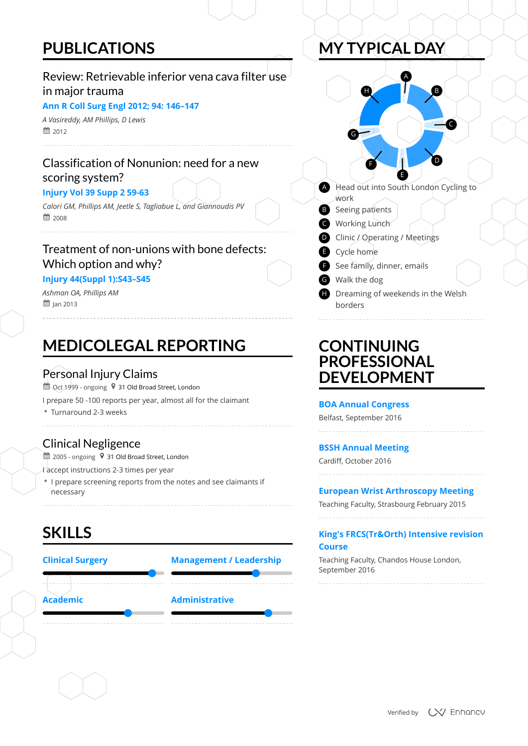# **PUBLICATIONS**

# **MEDICOLEGAL REPORTING**

**SKILLS**

 $\stackrel{\text{\tiny def}}{=}$  2005 - ongoing  $\;$   $\;$  31 Old Broad Street, London

# **MY TYPICAL DAY**

## **CONTINUING PROFESSIONAL DEVELOPMENT**

668 2012 *A Vasireddy, AM Phillips, D Lewis*

### Review: Retrievable inferior vena cava filter use in major trauma

#### **Ann R Coll Surg Engl 2012; 94: 146–147**

6 2008 *Calori GM, Phillips AM, Jeetle S, Tagliabue L, and Giannoudis PV*

**鼬 J**an 2013 *Ashman OA, Phillips AM*

### Classification of Nonunion: need for a new scoring system?

#### **Injury Vol 39 Supp 2 59-63**

### Treatment of non-unions with bone defects: Which option and why?

#### **Injury 44(Suppl 1):S43–S45**

### Personal Injury Claims

 $\overset{\text{\tiny{4}}}{\text{\tiny{4}}$  Oct 1999 - ongoing  $\,$   $\,$  31 Old Broad Street, London

Turnaround 2-3 weeks

I prepare 50 -100 reports per year, almost all for the claimant

### Clinical Negligence

- I accept instructions 2-3 times per year
- I prepare screening reports from the notes and see claimants if necessary





#### **BOA Annual Congress**

Belfast, September 2016

### **BSSH Annual Meeting**

Cardiff, October 2016

### **European Wrist Arthroscopy Meeting**

Teaching Faculty, Strasbourg February 2015

#### **King's FRCS(Tr&Orth) Intensive revision Course**

Teaching Faculty, Chandos House London, September 2016

Verified by **CV** Enhancy